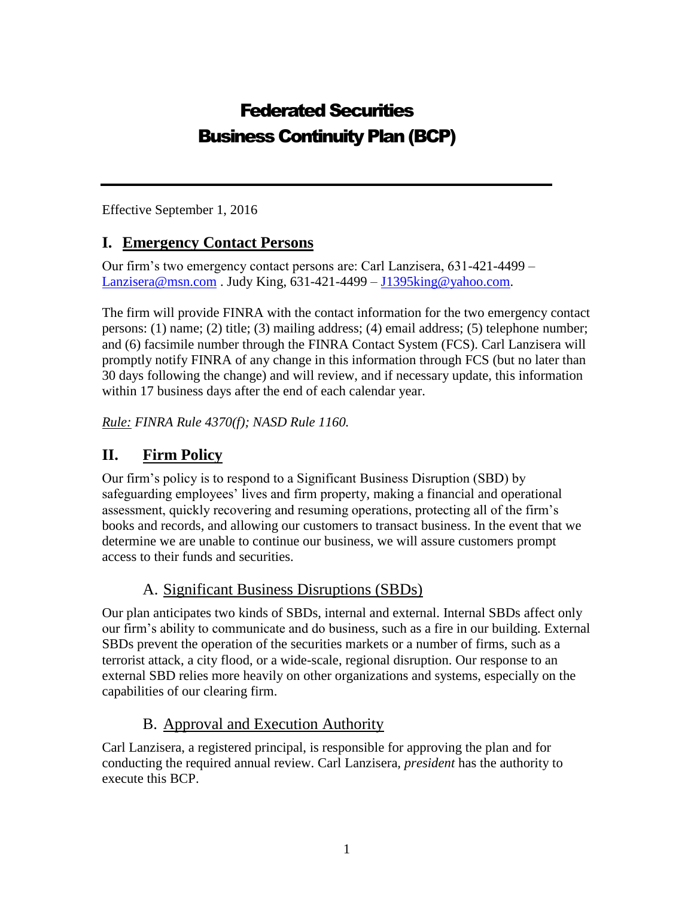# Federated Securities Business Continuity Plan (BCP)

Effective September 1, 2016

### **I. Emergency Contact Persons**

Our firm's two emergency contact persons are: Carl Lanzisera, 631-421-4499 – [Lanzisera@msn.com](mailto:Lanzisera@msn.com). Judy King,  $631-421-4499 - J1395$ king@yahoo.com.

The firm will provide FINRA with the contact information for the two emergency contact persons: (1) name; (2) title; (3) mailing address; (4) email address; (5) telephone number; and (6) facsimile number through the FINRA Contact System (FCS). Carl Lanzisera will promptly notify FINRA of any change in this information through FCS (but no later than 30 days following the change) and will review, and if necessary update, this information within 17 business days after the end of each calendar year.

*Rule: FINRA Rule 4370(f); NASD Rule 1160.*

### **II. Firm Policy**

Our firm's policy is to respond to a Significant Business Disruption (SBD) by safeguarding employees' lives and firm property, making a financial and operational assessment, quickly recovering and resuming operations, protecting all of the firm's books and records, and allowing our customers to transact business. In the event that we determine we are unable to continue our business, we will assure customers prompt access to their funds and securities.

### A. Significant Business Disruptions (SBDs)

Our plan anticipates two kinds of SBDs, internal and external. Internal SBDs affect only our firm's ability to communicate and do business, such as a fire in our building. External SBDs prevent the operation of the securities markets or a number of firms, such as a terrorist attack, a city flood, or a wide-scale, regional disruption. Our response to an external SBD relies more heavily on other organizations and systems, especially on the capabilities of our clearing firm.

### B. Approval and Execution Authority

Carl Lanzisera, a registered principal, is responsible for approving the plan and for conducting the required annual review. Carl Lanzisera*, president* has the authority to execute this BCP.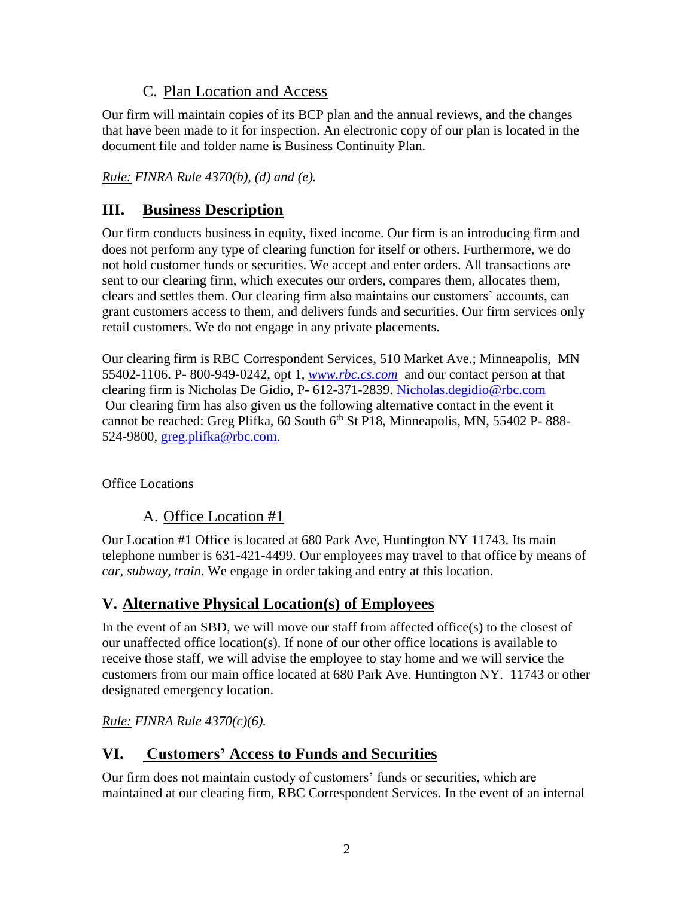### C. Plan Location and Access

Our firm will maintain copies of its BCP plan and the annual reviews, and the changes that have been made to it for inspection. An electronic copy of our plan is located in the document file and folder name is Business Continuity Plan.

*Rule: FINRA Rule 4370(b), (d) and (e).*

## **III. Business Description**

Our firm conducts business in equity, fixed income. Our firm is an introducing firm and does not perform any type of clearing function for itself or others. Furthermore, we do not hold customer funds or securities. We accept and enter orders. All transactions are sent to our clearing firm, which executes our orders, compares them, allocates them, clears and settles them. Our clearing firm also maintains our customers' accounts, can grant customers access to them, and delivers funds and securities. Our firm services only retail customers. We do not engage in any private placements.

Our clearing firm is RBC Correspondent Services, 510 Market Ave.; Minneapolis, MN 55402-1106. P- 800-949-0242, opt 1, *[www.rbc.cs.com](http://www.rbc.cs.com/)* and our contact person at that clearing firm is Nicholas De Gidio, P- 612-371-2839. [Nicholas.degidio@rbc.com](mailto:Nicholas.degidio@rbc.com) Our clearing firm has also given us the following alternative contact in the event it cannot be reached: Greg Plifka,  $60$  South  $6<sup>th</sup>$  St P18, Minneapolis, MN, 55402 P-888-524-9800, [greg.plifka@rbc.com.](mailto:greg.plifka@rbc.com)

Office Locations

### A. Office Location #1

Our Location #1 Office is located at 680 Park Ave, Huntington NY 11743. Its main telephone number is 631-421-4499. Our employees may travel to that office by means of *car, subway, train*. We engage in order taking and entry at this location.

### **V. Alternative Physical Location(s) of Employees**

In the event of an SBD, we will move our staff from affected office(s) to the closest of our unaffected office location(s). If none of our other office locations is available to receive those staff, we will advise the employee to stay home and we will service the customers from our main office located at 680 Park Ave. Huntington NY. 11743 or other designated emergency location.

*Rule: FINRA Rule 4370(c)(6).*

### **VI. Customers' Access to Funds and Securities**

Our firm does not maintain custody of customers' funds or securities, which are maintained at our clearing firm, RBC Correspondent Services. In the event of an internal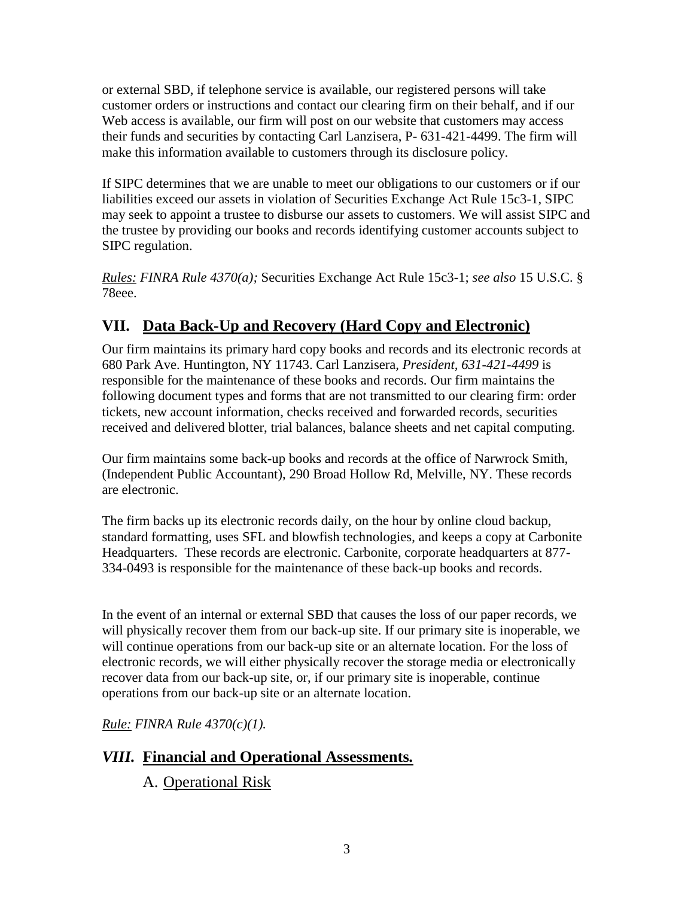or external SBD, if telephone service is available, our registered persons will take customer orders or instructions and contact our clearing firm on their behalf, and if our Web access is available, our firm will post on our website that customers may access their funds and securities by contacting Carl Lanzisera, P- 631-421-4499. The firm will make this information available to customers through its disclosure policy.

If SIPC determines that we are unable to meet our obligations to our customers or if our liabilities exceed our assets in violation of Securities Exchange Act Rule 15c3-1, SIPC may seek to appoint a trustee to disburse our assets to customers. We will assist SIPC and the trustee by providing our books and records identifying customer accounts subject to SIPC regulation.

*Rules: FINRA Rule 4370(a);* Securities Exchange Act Rule 15c3-1; *see also* 15 U.S.C. § 78eee.

## **VII. Data Back-Up and Recovery (Hard Copy and Electronic)**

Our firm maintains its primary hard copy books and records and its electronic records at 680 Park Ave. Huntington, NY 11743. Carl Lanzisera*, President, 631-421-4499* is responsible for the maintenance of these books and records. Our firm maintains the following document types and forms that are not transmitted to our clearing firm: order tickets, new account information, checks received and forwarded records, securities received and delivered blotter, trial balances, balance sheets and net capital computing.

Our firm maintains some back-up books and records at the office of Narwrock Smith, (Independent Public Accountant), 290 Broad Hollow Rd, Melville, NY. These records are electronic.

The firm backs up its electronic records daily, on the hour by online cloud backup, standard formatting, uses SFL and blowfish technologies, and keeps a copy at Carbonite Headquarters. These records are electronic. Carbonite, corporate headquarters at 877- 334-0493 is responsible for the maintenance of these back-up books and records.

In the event of an internal or external SBD that causes the loss of our paper records, we will physically recover them from our back-up site. If our primary site is inoperable, we will continue operations from our back-up site or an alternate location. For the loss of electronic records, we will either physically recover the storage media or electronically recover data from our back-up site, or, if our primary site is inoperable, continue operations from our back-up site or an alternate location.

*Rule: FINRA Rule 4370(c)(1).*

## *VIII.* **Financial and Operational Assessments***.*

A. Operational Risk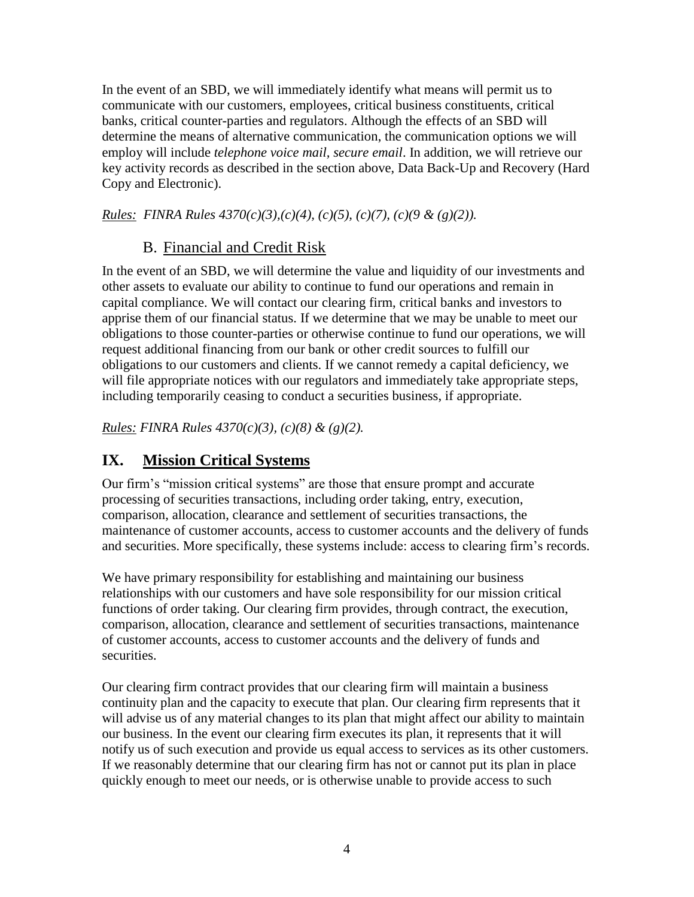In the event of an SBD, we will immediately identify what means will permit us to communicate with our customers, employees, critical business constituents, critical banks, critical counter-parties and regulators. Although the effects of an SBD will determine the means of alternative communication, the communication options we will employ will include *telephone voice mail, secure email*. In addition, we will retrieve our key activity records as described in the section above, Data Back-Up and Recovery (Hard Copy and Electronic).

*Rules: FINRA Rules 4370(c)(3),(c)(4), (c)(5), (c)(7), (c)(9 & (g)(2)).*

### B. Financial and Credit Risk

In the event of an SBD, we will determine the value and liquidity of our investments and other assets to evaluate our ability to continue to fund our operations and remain in capital compliance. We will contact our clearing firm, critical banks and investors to apprise them of our financial status. If we determine that we may be unable to meet our obligations to those counter-parties or otherwise continue to fund our operations, we will request additional financing from our bank or other credit sources to fulfill our obligations to our customers and clients. If we cannot remedy a capital deficiency, we will file appropriate notices with our regulators and immediately take appropriate steps, including temporarily ceasing to conduct a securities business, if appropriate.

*Rules: FINRA Rules 4370(c)(3), (c)(8) & (g)(2).*

## **IX. Mission Critical Systems**

Our firm's "mission critical systems" are those that ensure prompt and accurate processing of securities transactions, including order taking, entry, execution, comparison, allocation, clearance and settlement of securities transactions, the maintenance of customer accounts, access to customer accounts and the delivery of funds and securities. More specifically, these systems include: access to clearing firm's records.

We have primary responsibility for establishing and maintaining our business relationships with our customers and have sole responsibility for our mission critical functions of order taking. Our clearing firm provides, through contract, the execution, comparison, allocation, clearance and settlement of securities transactions, maintenance of customer accounts, access to customer accounts and the delivery of funds and securities.

Our clearing firm contract provides that our clearing firm will maintain a business continuity plan and the capacity to execute that plan. Our clearing firm represents that it will advise us of any material changes to its plan that might affect our ability to maintain our business. In the event our clearing firm executes its plan, it represents that it will notify us of such execution and provide us equal access to services as its other customers. If we reasonably determine that our clearing firm has not or cannot put its plan in place quickly enough to meet our needs, or is otherwise unable to provide access to such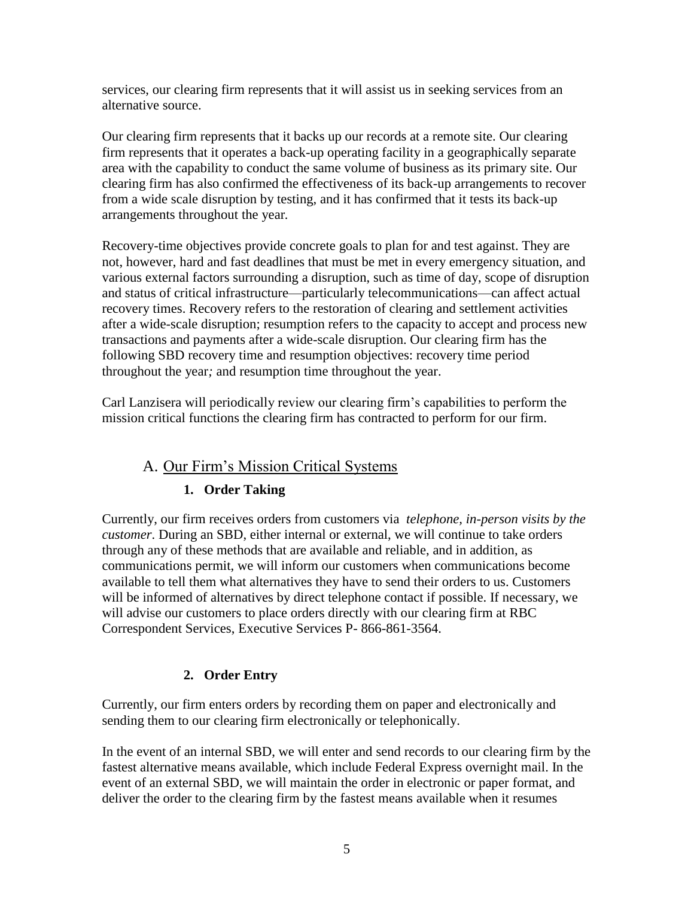services, our clearing firm represents that it will assist us in seeking services from an alternative source.

Our clearing firm represents that it backs up our records at a remote site. Our clearing firm represents that it operates a back-up operating facility in a geographically separate area with the capability to conduct the same volume of business as its primary site. Our clearing firm has also confirmed the effectiveness of its back-up arrangements to recover from a wide scale disruption by testing, and it has confirmed that it tests its back-up arrangements throughout the year*.* 

Recovery-time objectives provide concrete goals to plan for and test against. They are not, however, hard and fast deadlines that must be met in every emergency situation, and various external factors surrounding a disruption, such as time of day, scope of disruption and status of critical infrastructure—particularly telecommunications—can affect actual recovery times. Recovery refers to the restoration of clearing and settlement activities after a wide-scale disruption; resumption refers to the capacity to accept and process new transactions and payments after a wide-scale disruption. Our clearing firm has the following SBD recovery time and resumption objectives: recovery time period throughout the year*;* and resumption time throughout the year.

Carl Lanzisera will periodically review our clearing firm's capabilities to perform the mission critical functions the clearing firm has contracted to perform for our firm.

### A. Our Firm's Mission Critical Systems

#### **1. Order Taking**

Currently, our firm receives orders from customers via *telephone, in-person visits by the customer*. During an SBD, either internal or external, we will continue to take orders through any of these methods that are available and reliable, and in addition, as communications permit, we will inform our customers when communications become available to tell them what alternatives they have to send their orders to us. Customers will be informed of alternatives by direct telephone contact if possible. If necessary, we will advise our customers to place orders directly with our clearing firm at RBC Correspondent Services, Executive Services P- 866-861-3564.

#### **2. Order Entry**

Currently, our firm enters orders by recording them on paper and electronically and sending them to our clearing firm electronically or telephonically.

In the event of an internal SBD, we will enter and send records to our clearing firm by the fastest alternative means available, which include Federal Express overnight mail. In the event of an external SBD, we will maintain the order in electronic or paper format, and deliver the order to the clearing firm by the fastest means available when it resumes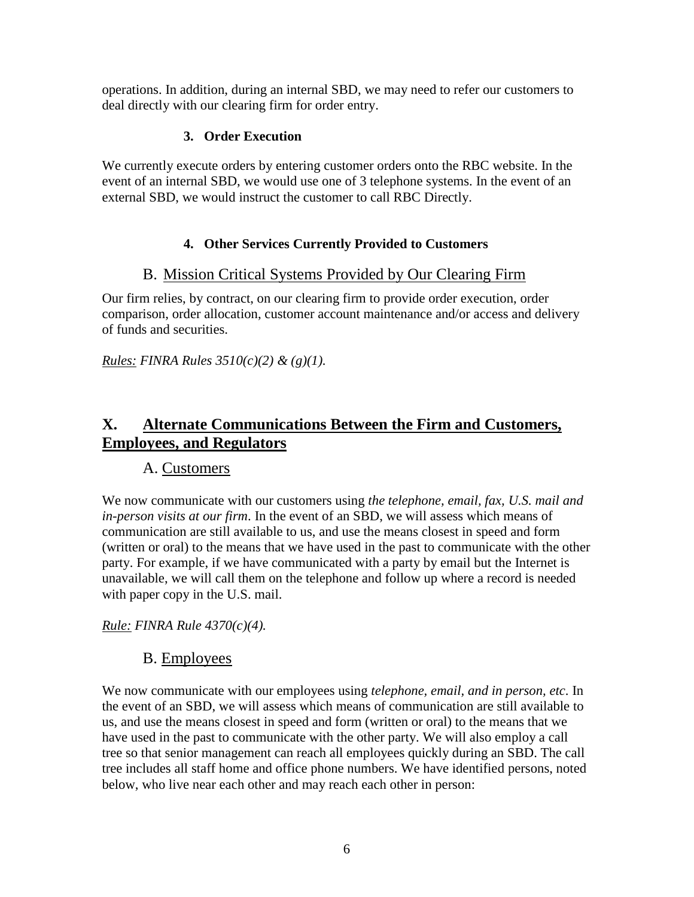operations. In addition, during an internal SBD, we may need to refer our customers to deal directly with our clearing firm for order entry.

#### **3. Order Execution**

We currently execute orders by entering customer orders onto the RBC website. In the event of an internal SBD, we would use one of 3 telephone systems. In the event of an external SBD, we would instruct the customer to call RBC Directly.

#### **4. Other Services Currently Provided to Customers**

#### B. Mission Critical Systems Provided by Our Clearing Firm

Our firm relies, by contract, on our clearing firm to provide order execution, order comparison, order allocation, customer account maintenance and/or access and delivery of funds and securities.

*Rules: FINRA Rules 3510(c)(2) & (g)(1).*

### **X. Alternate Communications Between the Firm and Customers, Employees, and Regulators**

#### A. Customers

We now communicate with our customers using *the telephone, email, fax, U.S. mail and in-person visits at our firm*. In the event of an SBD, we will assess which means of communication are still available to us, and use the means closest in speed and form (written or oral) to the means that we have used in the past to communicate with the other party. For example, if we have communicated with a party by email but the Internet is unavailable, we will call them on the telephone and follow up where a record is needed with paper copy in the U.S. mail.

*Rule: FINRA Rule 4370(c)(4).*

### B. Employees

We now communicate with our employees using *telephone, email, and in person, etc*. In the event of an SBD, we will assess which means of communication are still available to us, and use the means closest in speed and form (written or oral) to the means that we have used in the past to communicate with the other party. We will also employ a call tree so that senior management can reach all employees quickly during an SBD. The call tree includes all staff home and office phone numbers. We have identified persons, noted below, who live near each other and may reach each other in person: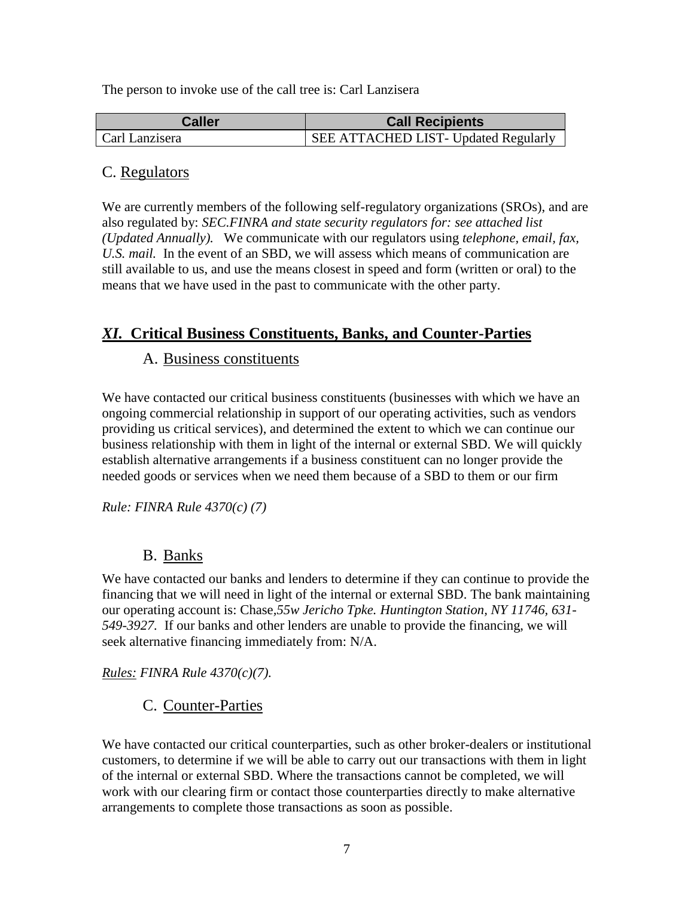The person to invoke use of the call tree is: Carl Lanzisera

| <b>Caller</b>  | <b>Call Recipients</b>                      |  |
|----------------|---------------------------------------------|--|
| Carl Lanzisera | <b>SEE ATTACHED LIST- Updated Regularly</b> |  |

#### C. Regulators

We are currently members of the following self-regulatory organizations (SROs), and are also regulated by: *SEC.FINRA and state security regulators for: see attached list (Updated Annually).* We communicate with our regulators using *telephone, email, fax, U.S. mail.* In the event of an SBD, we will assess which means of communication are still available to us, and use the means closest in speed and form (written or oral) to the means that we have used in the past to communicate with the other party.

### *XI.* **Critical Business Constituents, Banks, and Counter-Parties**

#### A. Business constituents

We have contacted our critical business constituents (businesses with which we have an ongoing commercial relationship in support of our operating activities, such as vendors providing us critical services), and determined the extent to which we can continue our business relationship with them in light of the internal or external SBD. We will quickly establish alternative arrangements if a business constituent can no longer provide the needed goods or services when we need them because of a SBD to them or our firm

#### *Rule: FINRA Rule 4370(c) (7)*

#### B. Banks

We have contacted our banks and lenders to determine if they can continue to provide the financing that we will need in light of the internal or external SBD. The bank maintaining our operating account is: Chase*,55w Jericho Tpke. Huntington Station, NY 11746, 631- 549-3927.* If our banks and other lenders are unable to provide the financing, we will seek alternative financing immediately from: N/A.

*Rules: FINRA Rule 4370(c)(7).*

### C. Counter-Parties

We have contacted our critical counterparties, such as other broker-dealers or institutional customers, to determine if we will be able to carry out our transactions with them in light of the internal or external SBD. Where the transactions cannot be completed, we will work with our clearing firm or contact those counterparties directly to make alternative arrangements to complete those transactions as soon as possible.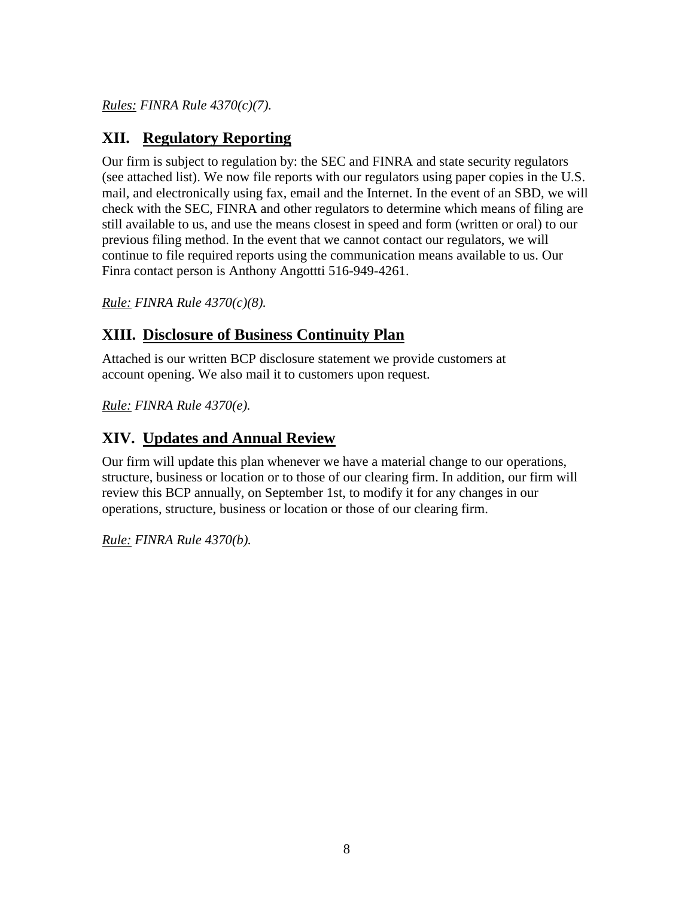*Rules: FINRA Rule 4370(c)(7).*

### **XII. Regulatory Reporting**

Our firm is subject to regulation by: the SEC and FINRA and state security regulators (see attached list). We now file reports with our regulators using paper copies in the U.S. mail, and electronically using fax, email and the Internet. In the event of an SBD, we will check with the SEC, FINRA and other regulators to determine which means of filing are still available to us, and use the means closest in speed and form (written or oral) to our previous filing method. In the event that we cannot contact our regulators, we will continue to file required reports using the communication means available to us. Our Finra contact person is Anthony Angottti 516-949-4261.

*Rule: FINRA Rule 4370(c)(8).*

### **XIII. Disclosure of Business Continuity Plan**

Attached is our written BCP disclosure statement we provide customers at account opening. We also mail it to customers upon request.

*Rule: FINRA Rule 4370(e).*

## **XIV. Updates and Annual Review**

Our firm will update this plan whenever we have a material change to our operations, structure, business or location or to those of our clearing firm. In addition, our firm will review this BCP annually, on September 1st, to modify it for any changes in our operations, structure, business or location or those of our clearing firm.

*Rule: FINRA Rule 4370(b).*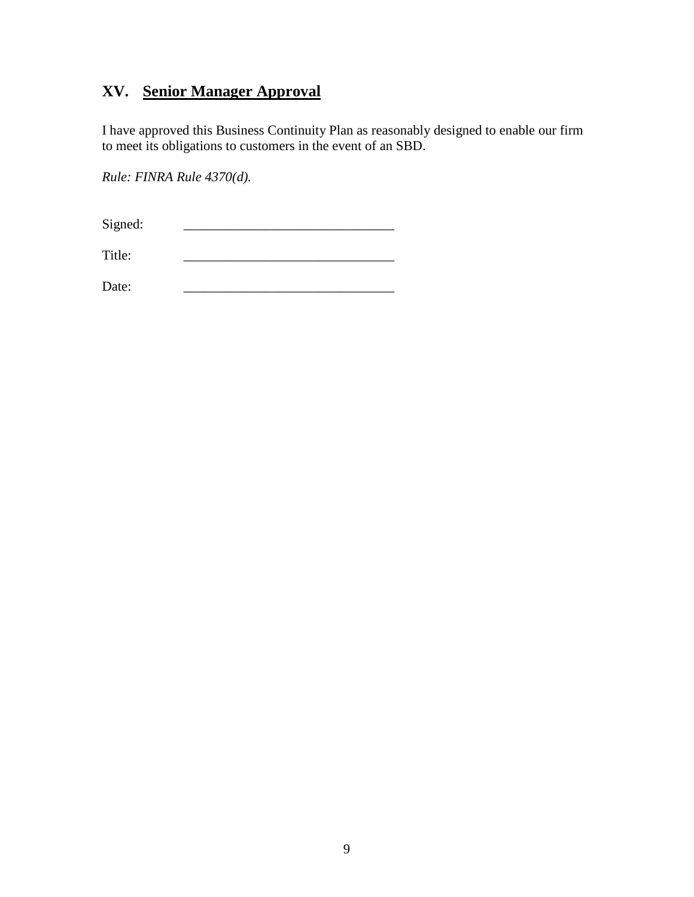# **XV. Senior Manager Approval**

I have approved this Business Continuity Plan as reasonably designed to enable our firm to meet its obligations to customers in the event of an SBD.

*Rule: FINRA Rule 4370(d).*

Signed:

Title: \_\_\_\_\_\_\_\_\_\_\_\_\_\_\_\_\_\_\_\_\_\_\_\_\_\_\_\_\_\_\_

Date: \_\_\_\_\_\_\_\_\_\_\_\_\_\_\_\_\_\_\_\_\_\_\_\_\_\_\_\_\_\_\_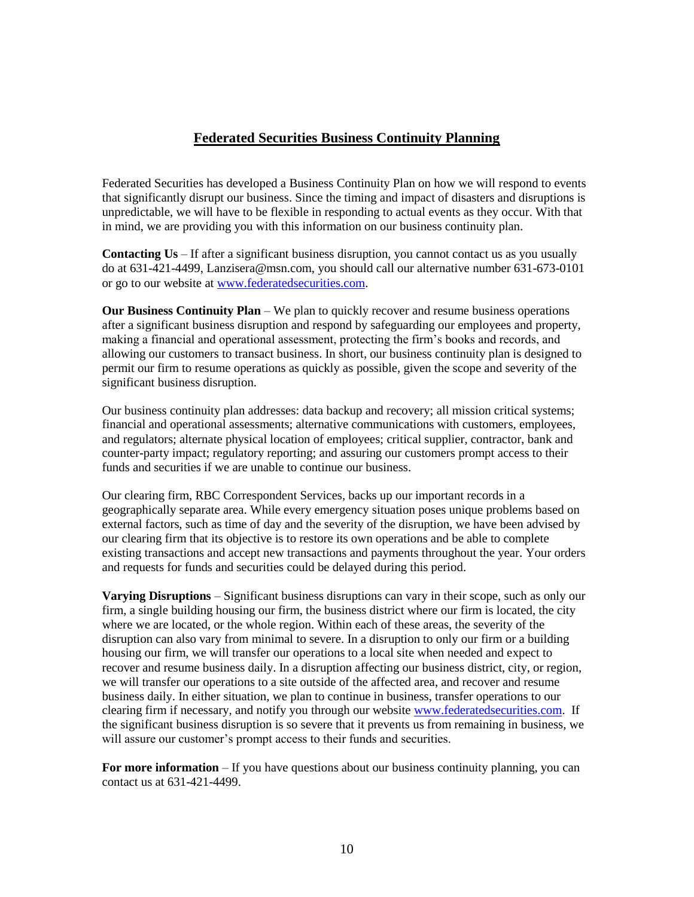#### **Federated Securities Business Continuity Planning**

Federated Securities has developed a Business Continuity Plan on how we will respond to events that significantly disrupt our business. Since the timing and impact of disasters and disruptions is unpredictable, we will have to be flexible in responding to actual events as they occur. With that in mind, we are providing you with this information on our business continuity plan.

**Contacting Us** – If after a significant business disruption, you cannot contact us as you usually do at 631-421-4499, Lanzisera@msn.com, you should call our alternative number 631-673-0101 or go to our website at [www.federatedsecurities.com.](http://www.federatedsecurities.com/)

**Our Business Continuity Plan** – We plan to quickly recover and resume business operations after a significant business disruption and respond by safeguarding our employees and property, making a financial and operational assessment, protecting the firm's books and records, and allowing our customers to transact business. In short, our business continuity plan is designed to permit our firm to resume operations as quickly as possible, given the scope and severity of the significant business disruption.

Our business continuity plan addresses: data backup and recovery; all mission critical systems; financial and operational assessments; alternative communications with customers, employees, and regulators; alternate physical location of employees; critical supplier, contractor, bank and counter-party impact; regulatory reporting; and assuring our customers prompt access to their funds and securities if we are unable to continue our business.

Our clearing firm, RBC Correspondent Services, backs up our important records in a geographically separate area. While every emergency situation poses unique problems based on external factors, such as time of day and the severity of the disruption, we have been advised by our clearing firm that its objective is to restore its own operations and be able to complete existing transactions and accept new transactions and payments throughout the year. Your orders and requests for funds and securities could be delayed during this period.

**Varying Disruptions** – Significant business disruptions can vary in their scope, such as only our firm, a single building housing our firm, the business district where our firm is located, the city where we are located, or the whole region. Within each of these areas, the severity of the disruption can also vary from minimal to severe. In a disruption to only our firm or a building housing our firm, we will transfer our operations to a local site when needed and expect to recover and resume business daily. In a disruption affecting our business district, city, or region, we will transfer our operations to a site outside of the affected area, and recover and resume business daily. In either situation, we plan to continue in business, transfer operations to our clearing firm if necessary, and notify you through our website [www.federatedsecurities.com.](http://www.federatedsecurities.com/) If the significant business disruption is so severe that it prevents us from remaining in business, we will assure our customer's prompt access to their funds and securities.

**For more information** – If you have questions about our business continuity planning, you can contact us at 631-421-4499.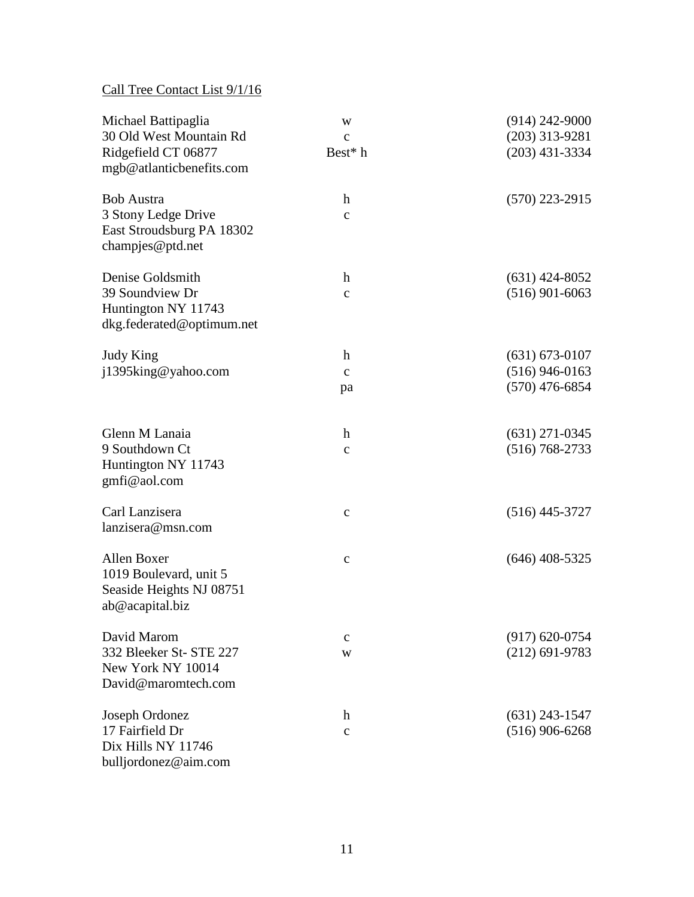## Call Tree Contact List 9/1/16

| Michael Battipaglia<br>30 Old West Mountain Rd<br>Ridgefield CT 06877<br>mgb@atlanticbenefits.com | W<br>$\mathbf{C}$<br>Best* h     | $(914)$ 242-9000<br>$(203)$ 313-9281<br>$(203)$ 431-3334   |
|---------------------------------------------------------------------------------------------------|----------------------------------|------------------------------------------------------------|
| <b>Bob Austra</b><br>3 Stony Ledge Drive<br>East Stroudsburg PA 18302<br>champjes@ptd.net         | $\boldsymbol{h}$<br>$\mathbf{C}$ | $(570)$ 223-2915                                           |
| Denise Goldsmith<br>39 Soundview Dr<br>Huntington NY 11743<br>dkg.federated@optimum.net           | $\mathbf h$<br>$\mathbf c$       | $(631)$ 424-8052<br>$(516)$ 901-6063                       |
| <b>Judy King</b><br>j1395king@yahoo.com                                                           | h<br>$\mathbf{C}$<br>pa          | $(631) 673 - 0107$<br>$(516)$ 946-0163<br>$(570)$ 476-6854 |
| Glenn M Lanaia<br>9 Southdown Ct<br>Huntington NY 11743<br>gmfi@aol.com                           | h<br>$\mathbf{C}$                | $(631)$ 271-0345<br>$(516) 768 - 2733$                     |
| Carl Lanzisera<br>lanzisera@msn.com                                                               | $\mathbf{C}$                     | $(516)$ 445-3727                                           |
| Allen Boxer<br>1019 Boulevard, unit 5<br>Seaside Heights NJ 08751<br>ab@acapital.biz              | $\mathbf{C}$                     | $(646)$ 408-5325                                           |
| David Marom<br>332 Bleeker St- STE 227<br>New York NY 10014<br>David@maromtech.com                | $\mathbf c$<br>W                 | $(917) 620 - 0754$<br>$(212)$ 691-9783                     |
| Joseph Ordonez<br>17 Fairfield Dr<br>Dix Hills NY 11746<br>bulljordonez@aim.com                   | $\boldsymbol{h}$<br>$\mathbf{C}$ | $(631)$ 243-1547<br>$(516)$ 906-6268                       |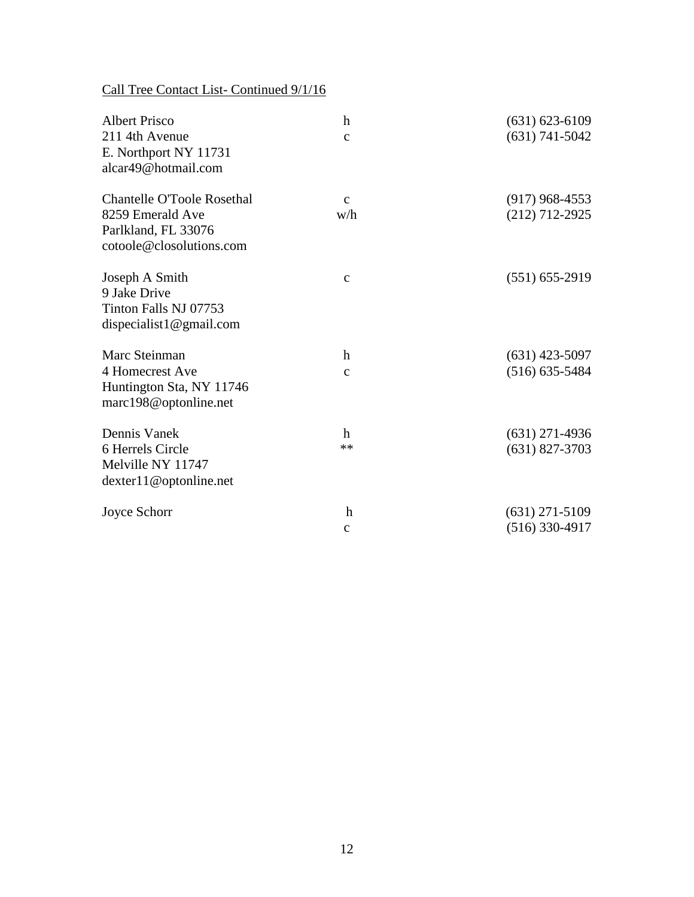Call Tree Contact List- Continued 9/1/16

| <b>Albert Prisco</b><br>211 4th Avenue<br>E. Northport NY 11731<br>alcar49@hotmail.com                   | $\mathbf h$<br>$\mathbf{C}$ | $(631) 623 - 6109$<br>$(631)$ 741-5042 |
|----------------------------------------------------------------------------------------------------------|-----------------------------|----------------------------------------|
| <b>Chantelle O'Toole Rosethal</b><br>8259 Emerald Ave<br>Parlkland, FL 33076<br>cotoole@closolutions.com | $\mathbf{C}$<br>w/h         | $(917)$ 968-4553<br>$(212)$ 712-2925   |
| Joseph A Smith<br>9 Jake Drive<br>Tinton Falls NJ 07753<br>dispecialist1@gmail.com                       | $\mathbf{C}$                | $(551) 655-2919$                       |
| Marc Steinman                                                                                            | h                           | $(631)$ 423-5097                       |
| 4 Homecrest Ave<br>Huntington Sta, NY 11746<br>marc198@optonline.net                                     | $\mathbf{C}$                | $(516) 635 - 5484$                     |
| Dennis Vanek                                                                                             | h                           | $(631)$ 271-4936                       |
| 6 Herrels Circle<br>Melville NY 11747<br>dexter11@optonline.net                                          | $**$                        | $(631)$ 827-3703                       |
| Joyce Schorr                                                                                             | $\boldsymbol{h}$            | $(631)$ 271-5109                       |
|                                                                                                          | $\mathbf c$                 | (516) 330-4917                         |